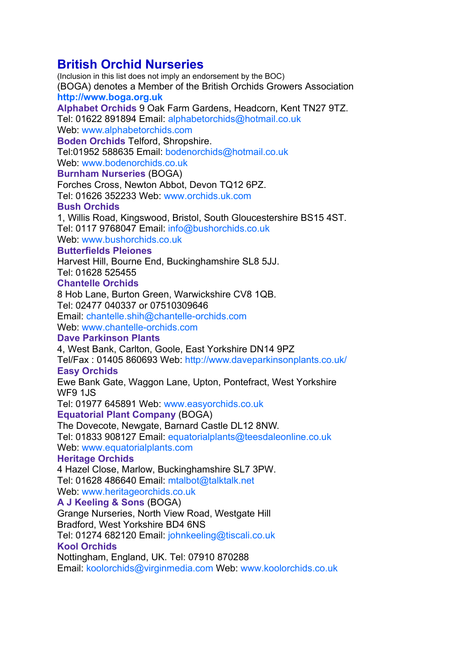# **British Orchid Nurseries**

(Inclusion in this list does not imply an endorsement by the BOC) (BOGA) denotes a Member of the British Orchids Growers Association **http://www.boga.org.uk**

**Alphabet Orchids** 9 Oak Farm Gardens, Headcorn, Kent TN27 9TZ.

Tel: 01622 891894 Email: alphabetorchids@hotmail.co.uk Web: www.alphabetorchids.com

**Boden Orchids** Telford, Shropshire.

Tel:01952 588635 Email: bodenorchids@hotmail.co.uk

Web: www.bodenorchids.co.uk

# **Burnham Nurseries** (BOGA)

Forches Cross, Newton Abbot, Devon TQ12 6PZ. Tel: 01626 352233 Web: www.orchids.uk.com

# **Bush Orchids**

1, Willis Road, Kingswood, Bristol, South Gloucestershire BS15 4ST. Tel: 0117 9768047 Email: info@bushorchids.co.uk Web: www.bushorchids.co.uk

### **Butterfields Pleiones**

Harvest Hill, Bourne End, Buckinghamshire SL8 5JJ.

Tel: 01628 525455

# **Chantelle Orchids**

8 Hob Lane, Burton Green, Warwickshire CV8 1QB.

Tel: 02477 040337 or 07510309646

Email: chantelle.shih@chantelle-orchids.com

Web: www.chantelle-orchids.com

### **Dave Parkinson Plants**

4, West Bank, Carlton, Goole, East Yorkshire DN14 9PZ

Tel/Fax : 01405 860693 Web: http://www.daveparkinsonplants.co.uk/ **Easy Orchids**

Ewe Bank Gate, Waggon Lane, Upton, Pontefract, West Yorkshire WF9 1JS

Tel: 01977 645891 Web: www.easyorchids.co.uk

### **Equatorial Plant Company** (BOGA)

The Dovecote, Newgate, Barnard Castle DL12 8NW.

Tel: 01833 908127 Email: equatorialplants@teesdaleonline.co.uk Web: www.equatorialplants.com

### **Heritage Orchids**

4 Hazel Close, Marlow, Buckinghamshire SL7 3PW. Tel: 01628 486640 Email: mtalbot@talktalk.net Web: www.heritageorchids.co.uk

# **A J Keeling & Sons** (BOGA)

Grange Nurseries, North View Road, Westgate Hill Bradford, West Yorkshire BD4 6NS

Tel: 01274 682120 Email: johnkeeling@tiscali.co.uk

# **Kool Orchids**

Nottingham, England, UK. Tel: 07910 870288

Email: koolorchids@virginmedia.com Web: www.koolorchids.co.uk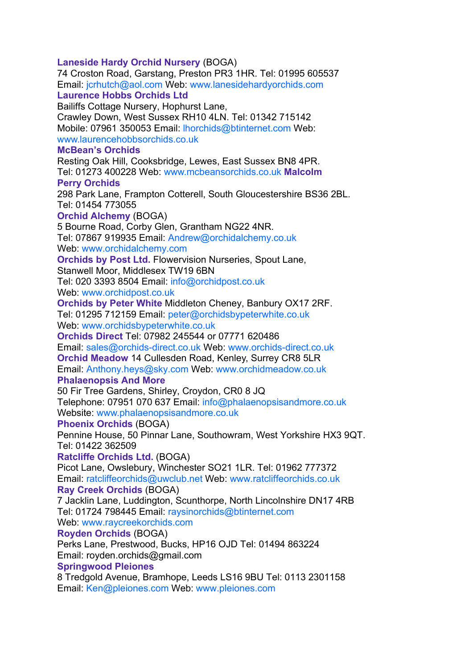### **Laneside Hardy Orchid Nursery** (BOGA)

74 Croston Road, Garstang, Preston PR3 1HR. Tel: 01995 605537 Email: jcrhutch@aol.com Web: www.lanesidehardyorchids.com **Laurence Hobbs Orchids Ltd**

Bailiffs Cottage Nursery, Hophurst Lane,

Crawley Down, West Sussex RH10 4LN. Tel: 01342 715142 Mobile: 07961 350053 Email: lhorchids@btinternet.com Web: www.laurencehobbsorchids.co.uk

### **McBean's Orchids**

Resting Oak Hill, Cooksbridge, Lewes, East Sussex BN8 4PR. Tel: 01273 400228 Web: www.mcbeansorchids.co.uk **Malcolm Perry Orchids**

298 Park Lane, Frampton Cotterell, South Gloucestershire BS36 2BL. Tel: 01454 773055

### **Orchid Alchemy** (BOGA)

5 Bourne Road, Corby Glen, Grantham NG22 4NR. Tel: 07867 919935 Email: Andrew@orchidalchemy.co.uk

Web: www.orchidalchemy.com

**Orchids by Post Ltd.** Flowervision Nurseries, Spout Lane,

Stanwell Moor, Middlesex TW19 6BN

Tel: 020 3393 8504 Email: info@orchidpost.co.uk Web: www.orchidpost.co.uk

**Orchids by Peter White** Middleton Cheney, Banbury OX17 2RF. Tel: 01295 712159 Email: peter@orchidsbypeterwhite.co.uk

Web: www.orchidsbypeterwhite.co.uk

**Orchids Direct** Tel: 07982 245544 or 07771 620486

Email: sales@orchids-direct.co.uk Web: www.orchids-direct.co.uk

**Orchid Meadow** 14 Cullesden Road, Kenley, Surrey CR8 5LR

Email: Anthony.heys@sky.com Web: www.orchidmeadow.co.uk **Phalaenopsis And More**

50 Fir Tree Gardens, Shirley, Croydon, CR0 8 JQ

Telephone: 07951 070 637 Email: info@phalaenopsisandmore.co.uk Website: www.phalaenopsisandmore.co.uk

### **Phoenix Orchids** (BOGA)

Pennine House, 50 Pinnar Lane, Southowram, West Yorkshire HX3 9QT. Tel: 01422 362509

**Ratcliffe Orchids Ltd.** (BOGA)

Picot Lane, Owslebury, Winchester SO21 1LR. Tel: 01962 777372 Email: ratcliffeorchids@uwclub.net Web: www.ratcliffeorchids.co.uk

# **Ray Creek Orchids** (BOGA)

7 Jacklin Lane, Luddington, Scunthorpe, North Lincolnshire DN17 4RB Tel: 01724 798445 Email: raysinorchids@btinternet.com Web: www.raycreekorchids.com

### **Royden Orchids** (BOGA)

Perks Lane, Prestwood, Bucks, HP16 OJD Tel: 01494 863224 Email: royden.orchids@gmail.com

### **Springwood Pleiones**

8 Tredgold Avenue, Bramhope, Leeds LS16 9BU Tel: 0113 2301158 Email: Ken@pleiones.com Web: www.pleiones.com